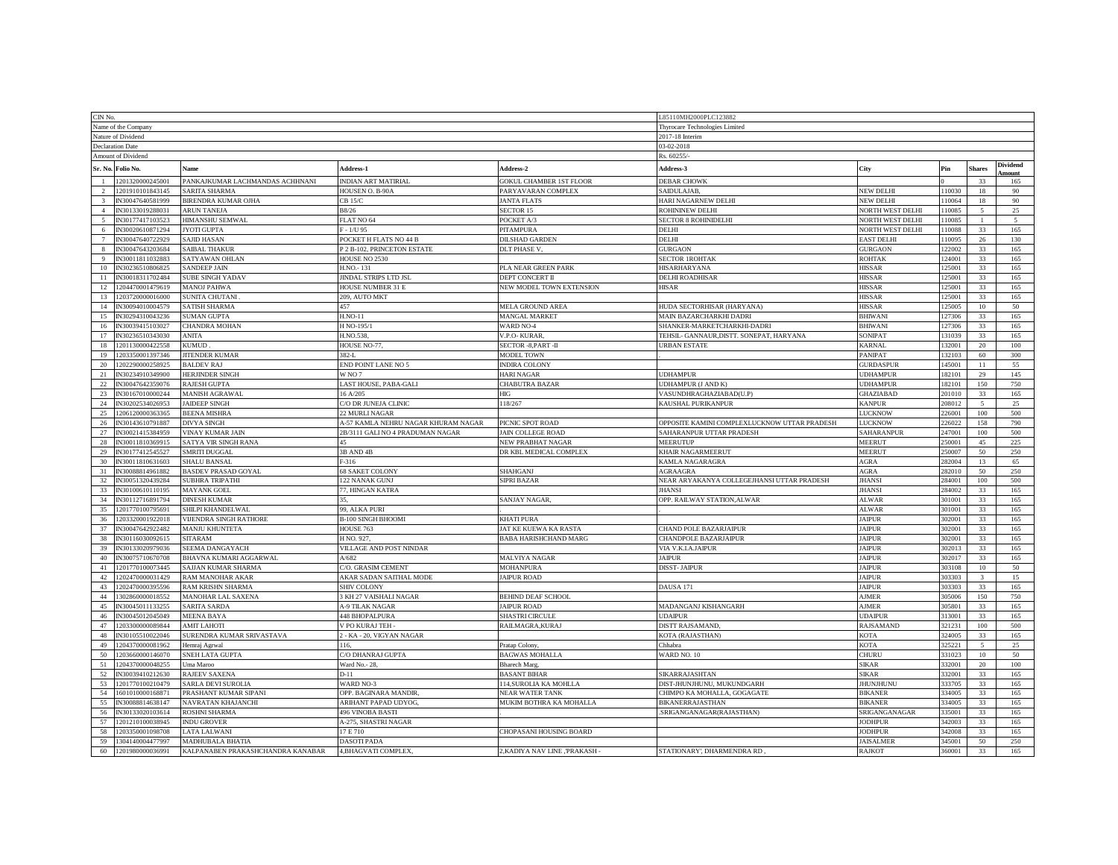| CIN No.                           |                         |                                   |                                     |                                 |                                              |                         |        |                         |              |  |
|-----------------------------------|-------------------------|-----------------------------------|-------------------------------------|---------------------------------|----------------------------------------------|-------------------------|--------|-------------------------|--------------|--|
|                                   |                         |                                   |                                     |                                 | L85110MH2000PLC123882                        |                         |        |                         |              |  |
| Name of the Company               |                         |                                   |                                     |                                 | Thyrocare Technologies Limited               |                         |        |                         |              |  |
| Nature of Dividend                |                         |                                   |                                     |                                 | 2017-18 Interim                              |                         |        |                         |              |  |
|                                   | <b>Declaration Date</b> |                                   |                                     |                                 | 03-02-2018                                   |                         |        |                         |              |  |
| Amount of Dividend<br>Rs. 60255/- |                         |                                   |                                     |                                 |                                              |                         |        |                         |              |  |
|                                   | Sr. No. Folio No.       | Name                              | Address-1                           | <b>Address-2</b>                | <b>Address-3</b>                             | City                    | Pin    | <b>Shares</b>           | Dividend     |  |
|                                   | 1201320000245001        | PANKAJKUMAR LACHMANDAS ACHHNANI   | <b>INDIAN ART MATIRIAL</b>          | <b>GOKUL CHAMBER 1ST FLOOR</b>  | <b>DEBAR CHOWK</b>                           |                         |        | 33                      | nount<br>165 |  |
| 2                                 | 1201910101843145        | SARITA SHARMA                     | HOUSEN O. B-90A                     | PARYAVARAN COMPLEX              | SAIDULAJAB,                                  | <b>NEW DELHI</b>        | 10030  | 18                      | 90           |  |
| $\overline{\mathbf{3}}$           | IN30047640581999        | BIRENDRA KUMAR OJHA               | CB 15/C                             | <b>JANTA FLATS</b>              | HARI NAGARNEW DELHI                          | <b>NEW DELHI</b>        | 10064  | 18                      | 90           |  |
| $\boldsymbol{\Lambda}$            | IN30133019288031        | <b>ARUN TANEJA</b>                | B8/26                               | <b>SECTOR 15</b>                | <b>ROHININEW DELHI</b>                       | <b>NORTH WEST DELHI</b> | 110085 |                         | 25           |  |
| $\overline{5}$                    | IN30177417103523        | HIMANSHU SEMWAL                   | FLAT NO 64                          | POCKET A/3                      | <b>SECTOR 8 ROHINIDELHI</b>                  | <b>NORTH WEST DELHI</b> | 110085 |                         |              |  |
|                                   | IN30020610871294        |                                   | $F - 1/U$ 95                        |                                 | DELHI                                        |                         | 10088  |                         |              |  |
| -6                                |                         | <b>YOTI GUPTA</b>                 |                                     | <b>PITAMPURA</b>                |                                              | <b>NORTH WEST DELHI</b> |        | 33                      | 165          |  |
|                                   | IN30047640722929        | SAJID HASAN                       | POCKET H FLATS NO 44 B              | <b>DILSHAD GARDEN</b>           | DELHI                                        | <b>EAST DELHI</b>       | 110095 | 26                      | 130          |  |
|                                   | N30047643203684         | <b>AIBAL THAKUR</b>               | P 2 B-102, PRINCETON ESTATE         | <b>DLT PHASE V</b>              | <b>GURGAON</b>                               | <b>GURGAON</b>          | 22002  | 33                      | 165          |  |
| $\mathbf{Q}$                      | IN30011811032883        | SATYAWAN OHLAN                    | HOUSE NO 2530                       |                                 | <b>SECTOR IROHTAK</b>                        | ROHTAK                  | 24001  | 33                      | 165          |  |
| 10                                | IN30236510806825        | SANDEEP JAIN                      | H.NO.-131                           | PLA NEAR GREEN PARK             | HISARHARYANA                                 | <b>HISSAR</b>           | 25001  | 33                      | 165          |  |
| 11                                | IN30018311702484        | <b>SUBE SINGH YADAV</b>           | JINDAL STRIPS LTD JSL               | DEPT CONCERT II                 | DELHI ROADHISAR                              | <b>HISSAR</b>           | 25001  | 33                      | 165          |  |
| 12                                | 204470001479619         | <b>MANOJ PAHWA</b>                | HOUSE NUMBER 31 E                   | <b>NEW MODEL TOWN EXTENSION</b> | <b>HISAR</b>                                 | <b>HISSAR</b>           | 25001  | 33                      | 165          |  |
| 13                                | 203720000016000         | SUNITA CHUTANI                    | 209, AUTO MKT                       |                                 |                                              | <b>HISSAR</b>           | 25001  | 33                      | 165          |  |
| 14                                | IN30094010004579        | <b>ATISH SHARMA</b>               | 457                                 | <b>MELA GROUND AREA</b>         | HUDA SECTORHISAR (HARYANA)                   | <b>HISSAR</b>           | 25005  | 10                      | 50           |  |
| 15                                | IN30294310043236        | <b>SUMAN GUPTA</b>                | <b>H.NO-11</b>                      | MANGAL MARKET                   | MAIN BAZARCHARKHI DADRI                      | <b>BHIWAN</b>           | 27306  | 33                      | 165          |  |
| 16                                | IN30039415103027        | CHANDRA MOHAN                     | H NO-195/1                          | <b>WARD NO-4</b>                | SHANKER-MARKETCHARKHI-DADRI                  | <b>BHIWAN</b>           | 27306  | 33                      | 165          |  |
| 17                                | IN30236510343030        | ANITA                             | H.NO.538                            | V.P.O- KURAR                    | TEHSIL- GANNAUR, DISTT. SONEPAT, HARYANA     | SONIPAT                 | 31039  | 33                      | 165          |  |
| 18                                | 1201130000422558        | <b>CUMUD</b>                      | HOUSE NO-77.                        | SECTOR -8, PART -II             | <b>URBAN ESTATE</b>                          | KARNAL                  | 32001  | 20                      | 100          |  |
| 19                                | 203350001397346         | <b>ITENDER KUMAR</b>              |                                     |                                 |                                              | PANIPAT                 | 32103  |                         | 300          |  |
|                                   |                         |                                   | 382-L                               | <b>MODEL TOWN</b>               |                                              |                         |        | 60                      |              |  |
| 20                                | 202290000258925         | <b>BALDEV RAJ</b>                 | END POINT LANE NO 5                 | <b>NDIRA COLONY</b>             |                                              | <b>GURDASPL</b>         | 145001 | 11                      | 55           |  |
| 21                                | IN30234910349900        | <b>HERJINDER SINGH</b>            | W <sub>NO7</sub>                    | HARI NAGAR                      | <b>UDHAMPUR</b>                              | <b>JDHAMPUF</b>         | 182101 | 29                      | 145          |  |
| 22                                | IN30047642359076        | <b>AJESH GUPTA</b>                | LAST HOUSE, PABA-GALI               | <b>CHABUTRA BAZAR</b>           | UDHAMPUR (J AND K)                           | <b>JDHAMPUR</b>         | 82101  | 150                     | 750          |  |
| 23                                | IN30167010000244        | <b>MANISH AGRAWAL</b>             | 16 A/205                            | HIG                             | VASUNDHRAGHAZIABAD(U.P)                      | <b>GHAZIABAD</b>        | 01010  | 33                      | 165          |  |
| 24                                | IN30202534026953        | <b>AIDEEP SINGH</b>               | C/O DR JUNEJA CLINIC                | 18/267                          | KAUSHAL PURIKANPUR                           | <b>KANPUR</b>           | 08012  | 5                       | 25           |  |
| 25                                | 206120000363365         | <b>EENA MISHRA</b>                | 2 MURLI NAGAR                       |                                 |                                              | LUCKNOW                 | 26001  | 100                     | 500          |  |
| 26                                | IN30143610791887        | <b>DIVYA SINGH</b>                | 4-57 KAMLA NEHRU NAGAR KHURAM NAGAR | PICNIC SPOT ROAD                | OPPOSITE KAMINI COMPLEXLUCKNOW UTTAR PRADESH | <b>LUCKNOW</b>          | 26022  | 158                     | 790          |  |
| 27                                | IN30021415384959        | <b>VINAY KUMAR JAIN</b>           | 2B/3111 GALI NO 4 PRADUMAN NAGAR    | AIN COLLEGE ROAD                | AHARANPUR UTTAR PRADESH                      | SAHARANPUI              | 47001  | 100                     | 500          |  |
| 28                                | IN30011810369915        | SATYA VIR SINGH RANA              |                                     | <b>NEW PRABHAT NAGAF</b>        | <b>MEERUTUP</b>                              | <b>MEERU</b>            | 50001  | 45                      | 225          |  |
| 29                                | IN30177412545527        | SMRITI DUGGAL                     | 3B AND 4B                           | DR KBL MEDICAL COMPLEX          | KHAIR NAGARMEERUT                            | <b>MEERU</b>            | 50007  | 50                      | 250          |  |
| 30                                | IN30011810631603        | <b>SHALU BANSAL</b>               | $-316$                              |                                 | KAMLA NAGARAGRA                              | AGRA                    | 282004 | 13                      | 65           |  |
| 31                                | IN30088814961882        | ASDEV PRASAD GOYAL                | 58 SAKET COLONY                     | <b>SHAHGANJ</b>                 | <b>GRAAGRA</b>                               | AGRA                    | 82010  | 50                      | 250          |  |
|                                   | IN30051320439284        | <b>SUBHRA TRIPATHI</b>            | 122 NANAK GUNJ                      |                                 | NEAR ARYAKANYA COLLEGEJHANSI UTTAR PRADESH   | <b>JHANSI</b>           | 84001  | 100                     | 500          |  |
| 32                                |                         |                                   |                                     | <b>SIPRI BAZAR</b>              |                                              |                         |        |                         |              |  |
| 33                                | IN30100610110195        | <b>MAYANK GOEL</b>                | 77, HINGAN KATRA                    |                                 | <b>IHANS</b>                                 | <b>HANSI</b>            | 84002  | 33                      | 165          |  |
| 34                                | IN30112716891794        | <b>DINESH KUMAR</b>               |                                     | <b>SANJAY NAGAR</b>             | OPP. RAILWAY STATION, ALWAR                  | <b>ALWAR</b>            | 301001 | 33                      | 165          |  |
| 35                                | 201770100795691         | SHILPI KHANDELWAL                 | 99, ALKA PURI                       |                                 |                                              | <b>ALWAR</b>            | 801001 | 33                      | 165          |  |
| 36                                | 1203320001922018        | VIJENDRA SINGH RATHORE            | <b>B-100 SINGH BHOOMI</b>           | KHATI PURA                      |                                              | <b>JAIPUR</b>           | 302001 | 33                      | 165          |  |
| 37                                | IN30047642922482        | MANJU KHUNTETA                    | HOUSE 763                           | AT KE KUEWA KA RASTA            | CHAND POLE BAZARJAIPUR                       | <b>JAIPUR</b>           | 802001 | 33                      | 165          |  |
| 38                                | IN30116030092615        | <b>SITARAM</b>                    | H NO. 927,                          | <b>BABA HARISHCHAND MARG</b>    | CHANDPOLE BAZARJAIPUR                        | <b>JAIPUR</b>           | 302001 | 33                      | 165          |  |
| 39                                | IN30133020979036        | SEEMA DANGAYACH                   | VILLAGE AND POST NINDAR             |                                 | VIA V.K.LA.JAIPUR                            | <b>JAIPUR</b>           | 302013 | 33                      | 165          |  |
| 40                                | IN30075710670708        | BHAVNA KUMARI AGGARWAL            | A/682                               | MALVIYA NAGAR                   | <b>JAIPUR</b>                                | JAIPUR                  | 302017 | 33                      | 165          |  |
| 41                                | 201770100073445         | SAJJAN KUMAR SHARMA               | C/O. GRASIM CEMENT                  | <b>MOHANPURA</b>                | <b>DISST-JAIPUR</b>                          | <b>JAIPUR</b>           | 303108 | $10\,$                  | 50           |  |
| 42                                | 202470000031429         | RAM MANOHAR AKAR                  | AKAR SADAN SAITHAL MODE             | <b>AIPUR ROAD</b>               |                                              | <b>JAIPUR</b>           | 303303 | $\overline{\mathbf{3}}$ | 15           |  |
| 43                                | 202470000395596         | RAM KRISHN SHARMA                 | <b>SHIV COLONY</b>                  |                                 | DAUSA 171                                    | <b>JAIPUR</b>           | 303303 | 33                      | 165          |  |
| 44                                | 302860000018552         | MANOHAR LAL SAXENA                | 3 KH 27 VAISHALI NAGAR              | BEHIND DEAF SCHOOL              |                                              | <b>AJMER</b>            | 05006  | 150                     | 750          |  |
| 45                                | IN30045011133255        | SARITA SARDA                      | <b>A-9 TILAK NAGAR</b>              | <b>AIPUR ROAD</b>               | MADANGANJ KISHANGARH                         | <b>AJMER</b>            | 305801 | 33                      | 165          |  |
|                                   | N30045012045049         |                                   |                                     |                                 | <b>IDAIPUR</b>                               |                         |        | 33                      |              |  |
| 46                                |                         | <b>MEENA BAYA</b>                 | 448 BHOPALPURA                      | <b>SHASTRI CIRCULE</b>          |                                              | <b>JDAIPU</b>           | 13001  |                         | 165          |  |
| 47                                | 203300000089844         | <b>AMIT LAHOTI</b>                | V PO KURAJ TEH -                    | RAILMAGRA, KURAJ                | <b>DISTT RAJSAMAND</b>                       | RAJSAMAND               | 21231  | 100                     | 500          |  |
| 48                                | IN30105510022046        | SURENDRA KUMAR SRIVASTAVA         | - KA - 20, VIGYAN NAGAR             |                                 | <b>KOTA (RAJASTHAN)</b>                      | <b>KOTA</b>             | 324005 | 33                      | 165          |  |
| 49                                | 1204370000081962        | Hemraj Agrwal                     | 116.                                | Pratap Colony                   | Chhabra                                      | <b>KOTA</b>             | 325221 | 5                       | 25           |  |
| 50                                | 203660000146070         | <b>NEH LATA GUPTA</b>             | C/O DHANRAJ GUPTA                   | <b>BAGWAS MOHALLA</b>           | WARD NO. 10                                  | <b>CHURL</b>            | 31023  | $10\,$                  | 50           |  |
| 51                                | 1204370000048255        | ma Maroo                          | Ward No.- 28,                       | <b>Bharech Marg</b>             |                                              | <b>SIKAR</b>            | 32001  | 20                      | 100          |  |
| 52                                | IN30039410212630        | <b>AJEEV SAXENA</b>               | $D-11$                              | <b>BASANT BIHAR</b>             | SIKARRAJASHTAN                               | <b>SIKAR</b>            | 32001  | 33                      | 165          |  |
| 53                                | 1201770100210479        | <b>SARLA DEVI SUROLIA</b>         | <b>WARD NO-3</b>                    | 114,SUROLIA KA MOHLLA           | DIST-JHUNJHUNU, MUKUNDGARH                   | <b>JHUNJHUNU</b>        | 333705 | 33                      | 165          |  |
| 54                                | 601010000168871         | PRASHANT KUMAR SIPANI             | OPP. BAGINARA MANDIR                | <b>NEAR WATER TANK</b>          | CHIMPO KA MOHALLA, GOGAGATE                  | <b>BIKANER</b>          | 334005 | 33                      | 165          |  |
| 55                                | IN30088814638147        | <b>NAVRATAN KHAJANCHI</b>         | ARIHANT PAPAD UDYOG,                | MUKIM BOTHRA KA MOHALLA         | <b>BIKANERRAJASTHAN</b>                      | <b>BIKANER</b>          | 34005  | 33                      | 165          |  |
| 56                                | IN30133020103614        | ROSHNI SHARMA                     | 496 VINOBA BASTI                    |                                 | SRIGANGANAGAR(RAJASTHAN)                     | SRIGANGANAGAR           | 35001  | 33                      | 165          |  |
| 57                                | 1201210100038945        | <b>NDU GROVER</b>                 | A-275, SHASTRI NAGAR                |                                 |                                              | <b>JODHPUR</b>          | 342003 | 33                      | 165          |  |
|                                   | 203350001098708         | LATA LALWANI                      | 17E710                              | CHOPASANI HOUSING BOARD         |                                              | <b>JODHPUF</b>          | 342008 | 33                      |              |  |
| 58                                |                         |                                   |                                     |                                 |                                              |                         | 345001 |                         | 165<br>250   |  |
| 59                                | 1304140004477997        | <b>MADHUBALA BHATIA</b>           | <b>DASOTI PADA</b>                  |                                 |                                              | <b>JAISALMER</b>        |        | 50                      |              |  |
| 60                                | 1201980000036991        | KALPANABEN PRAKASHCHANDRA KANABAR | 4, BHAGVATI COMPLEX,                | 2, KADIYA NAV LINE, PRAKASH     | STATIONARY', DHARMENDRA RD                   | <b>RAJKOT</b>           | 360001 | 33                      | 165          |  |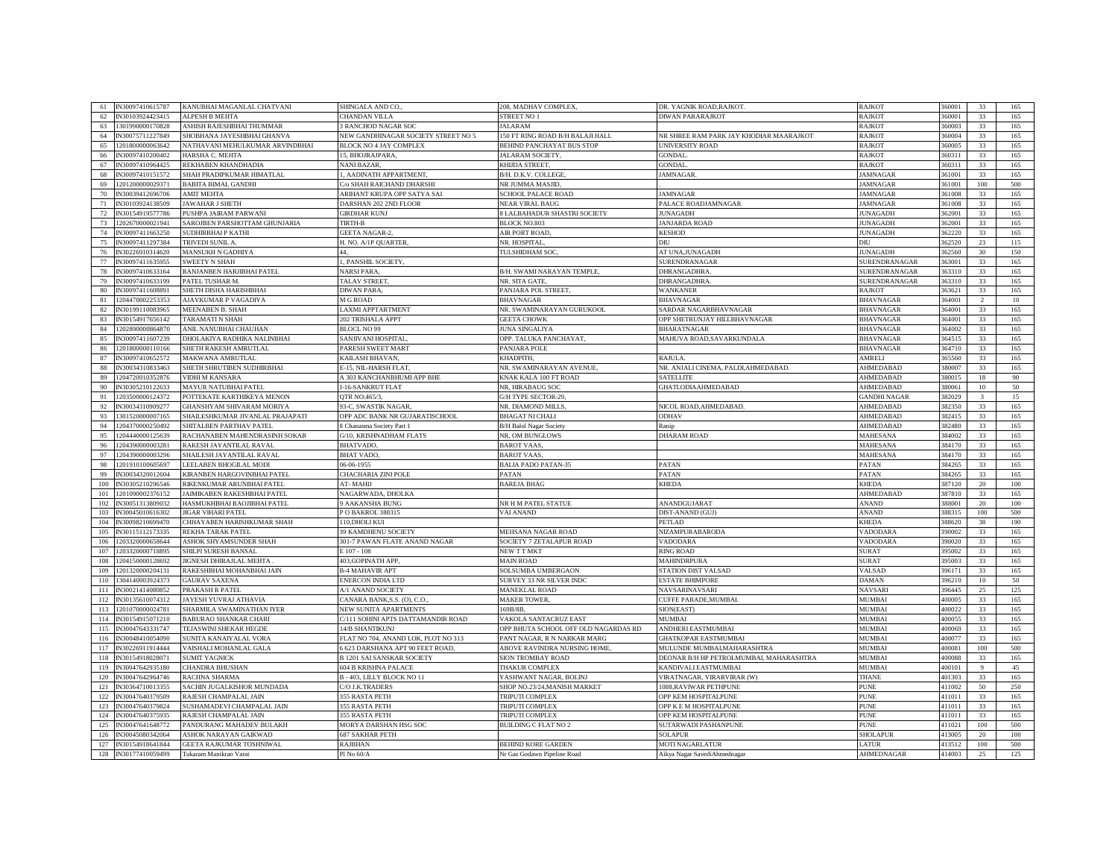| 61  | IN30097410615787     | KANUBHAI MAGANLAL CHATVANI       | SHINGALA AND CO.                    | 208, MADHAV COMPLEX.                 | DR. YAGNIK ROAD,RAJKOT                  | RAJKOT              | 60001   | 33           | 165 |
|-----|----------------------|----------------------------------|-------------------------------------|--------------------------------------|-----------------------------------------|---------------------|---------|--------------|-----|
| 62  | N30103924423415      | ALPESH B MEHTA                   | CHANDAN VILLA                       | <b>STREET NO 1</b>                   | <b>DIWAN PARARAJKOT</b>                 | <b>AJKOT</b>        | 60001   | 33           | 165 |
| 63  | 301990000170828      | ASHISH RAJESHBHAI THUMMAR        | 3 RANCHOD NAGAR SOC                 | <b>ALARAM</b>                        |                                         | RAJKOT              | 60003   | 33           |     |
|     |                      |                                  |                                     |                                      |                                         |                     |         |              | 165 |
| 64  | N30075711227849      | SHOBHANA JAYESHBHAI GHANVA       | NEW GANDHINAGAR SOCIETY STREET NO 5 | 150 FT RING ROAD B/H BALAJI HALL     | NR SHREE RAM PARK JAY KHODIAR MAARAJKOT | <b>RAJKOT</b>       | 60004   | 33           | 165 |
| 65  | 201800000063642      | NATHAVANI MEHULKUMAR ARVINDBHAI  | <b>BLOCK NO 4 JAY COMPLEX</b>       | BEHIND PANCHAYAT BUS STOP            | <b>INIVERSITY ROAD</b>                  | <b>RAJKOT</b>       | 60005   | 33           | 165 |
| 66  | N30097410200402      | HARSHA C. MEHTA                  | 15, BHOJRAJPARA                     | JALARAM SOCIETY,                     | <b>GONDAL</b>                           | <b>RAJKOT</b>       | 360311  | 33           | 165 |
| 67  | N30097410964425      | REKHABEN KHANDHADIA              | NANI BAZAR,                         | KHIJDA STREET,                       | <b>GONDAL</b>                           | RAJKOT              | 60311   | 33           | 165 |
| 68  | N30097410151572      | SHAH PRADIPKUMAR HIMATLAL        | 1, AADINATH APPARTMENT              | B/H. D.K.V. COLLEGE                  | <b>AMNAGAR</b>                          | <b>JAMNAGAR</b>     | 61001   | 33           | 165 |
| 69  | 1201200000029371     | <b>BABITA BIMAL GANDHI</b>       | C/o SHAH RAICHAND DHARSHI           | NR JUMMA MASJID,                     |                                         | <b>JAMNAGAR</b>     | 361001  | 100          | 500 |
| 70  | N30039412696706      | <b>AMIT MEHTA</b>                | ARIHANT KRUPA OPP SATYA SAI         | <b>SCHOOL PALACE ROAD</b>            | <b>AMNAGAR</b>                          | <b>JAMNAGAR</b>     | 361008  | 33           | 165 |
| 71  | IN30103924138509     | JAWAHAR J SHETH                  | DARSHAN 202 2ND FLOOR               | <b>NEAR VIRAL BAUG</b>               | <b>PALACE ROADJAMNAGAR</b>              | <b>JAMNAGAR</b>     | 361008  | 33           | 165 |
| 72  | N30154919577786      | PUSHPA JAIRAM PARWANI            | <b>GIRDHAR KUNJ</b>                 | <b>BLALBAHADUR SHASTRI SOCIETY</b>   | <b>IUNAGADH</b>                         | <b>JUNAGADH</b>     | 62001   | 33           | 165 |
|     |                      |                                  |                                     |                                      |                                         |                     |         |              |     |
| 73  | 202670000021941      | SAROJBEN PARSHOTTAM GHUNJARIA    | <b>TIRTH-B</b>                      | <b>BLOCK NO.803</b>                  | <b>ANJARDA ROAD</b>                     | <b>JUNAGADH</b>     | 62001   | 33           | 165 |
| 74  | IN30097411663250     | SUDHIRBHAI P KATHI               | <b>GEETA NAGAR-2</b>                | <b>AIR PORT ROAD</b>                 | KESHOD                                  | <b>JUNAGADH</b>     | 62220   | 33           | 165 |
| 75  | N30097411297384      | TRIVEDI SUNIL A                  | H. NO. A/1P QUARTER.                | <b>NR. HOSPITAL</b>                  | DIU                                     | DIU                 | 362520  | 23           | 115 |
| 76  | N30226910314620      | MANSUKH N GADHIYA                |                                     | <b>TULSHIDHAM SOC</b>                | AT UNA, JUNAGADH                        | <b>JUNAGADH</b>     | 62560   | 30           | 150 |
| 77  | N30097411635955      | <b>SWEETY N SHAH</b>             | , PANSHIL SOCIETY.                  |                                      | SURENDRANAGAR                           | SURENDRANAGAR       | 63001   | 33           | 165 |
| 78  | N30097410633164      | RANJANBEN HARJIBHAI PATEL        | NARSI PARA.                         | B/H. SWAMI NARAYAN TEMPLE.           | <b>DHRANGADHRA</b>                      | SURENDRANAGAR       | 63310   | 33           | 165 |
| 79  | N30097410633199      | PATEL TUSHAR M.                  | TALAV STREET                        | NR. SITA GATE.                       | DHRANGADHRA                             | SURENDRANAGAR       | 63310   | 33           | 165 |
| 80  | V30097411608891      | SHETH DISHA HARISHBHAI           | <b>DIWAN PARA</b>                   | PANJARA POL STREET,                  | <b>WANKANER</b>                         | <b>RAJKOT</b>       | 63621   | 33           | 165 |
|     |                      |                                  |                                     |                                      |                                         |                     |         |              |     |
| 81  | 204470002253353      | AJAYKUMAR P VAGADIYA             | M G ROAD                            | <b>BHAVNAGAR</b>                     | <b>BHAVNAGAR</b>                        | <b>BHAVNAGAR</b>    | 364001  |              | 10  |
| 82  | N30199110083965      | MEENABEN B. SHAH                 | <b>LAXMI APPTARTMENT</b>            | NR. SWAMINARAYAN GURUKOOL            | SARDAR NAGARBHAVNAGAR                   | <b>BHAVNAGAR</b>    | 64001   | 33           | 165 |
| 83  | N30154917656142      | <b><i>FARAMATIN SHAH</i></b>     | 202 TRISHALA APPT                   | <b>JEETA CHOWK</b>                   | OPP SHETRUNJAY HILLBHAVNAGAR            | <b>BHAVNAGAR</b>    | 64001   | 33           | 165 |
| 84  | 1202890000864870     | ANIL NANUBHAI CHAUHAN            | <b>BLOCL NO 99</b>                  | <b>UNA SINGALIYA</b>                 | <b>BHARATNAGAR</b>                      | <b>BHAVNAGAR</b>    | 64002   | 33           | 165 |
| 85  | N30097411607239      | DHOLAKIYA RADHIKA NALINBHAI      | SANJIVANI HOSPITAL                  | OPP. TALUKA PANCHAYAT,               | MAHUVA ROAD, SAVARKUNDALA               | <b>BHAVNAGAR</b>    | 364515  | 33           | 165 |
| 86  | 201800000110166      | SHETH RAKESH AMRUTLAL            | PARESH SWEET MART                   | <b>ANJARA POLE</b>                   |                                         | <b>BHAVNAGAR</b>    | 364710  | 33           | 165 |
| 87  | N30097410652572      | MAKWANA AMRUTLAL                 | KAILASH BHAVAN,                     | KHADPITH,                            | RAJULA                                  | AMRELI              | 365560  | 33           | 165 |
| 88  | N30034310833463      | SHETH SHRUTIBEN SUDHIRBHAI       | E-15, NIL-HARSH FLAT                | NR. SWAMINARAYAN AVENUE,             | NR. ANJALI CINEMA, PALDI,AHMEDABAD.     | AHMEDABAD           | 80007   | 33           | 165 |
|     | 204720010352876      | <b>VIDHI M KANSARA</b>           | A 303 KANCHANBHUMI APP BHE          | KNAK KALA 100 FT ROAD                | SATELLITE                               | AHMEDABAD           | 80015   | 18           | 90  |
| 89  |                      |                                  |                                     |                                      |                                         |                     |         |              |     |
| 90  | N30305210122633      | <b>MAYUR NATUBHAI PATEL</b>      | J-16-SANKRUT FLAT                   | NR, HIRABAUG SOC                     | GHATLODIAAHMEDABAD                      | AHMEDABAD           | 80061   | 10           | 50  |
| 91  | 203500000124372      | POTTEKATE KARTHIKEYA MENON       | <b>OTR NO:465/3</b>                 | <b>GH TYPE SECTOR-29</b>             |                                         | <b>GANDHI NAGAR</b> | 82029   | $\mathbf{R}$ | 15  |
| 92  | N30034310909277      | GHANSHYAM SHIVARAM MORIYA        | 93-C, SWASTIK NAGAR.                | <b>NR. DIAMOND MILLS</b>             | NICOL ROAD, AHMEDABAD.                  | AHMEDABAD           | 382350  | 33           | 165 |
| 93  | 301520000007165      | SHAILESHKUMAR JIVANLAL PRAJAPATI | OPP ADC BANK NR GUJARATISCHOOL      | <b>BHAGAT NI CHALI</b>               | ODHAV                                   | <b>AHMEDABAD</b>    | 82415   | 33           | 165 |
| 94  | 204370000250492      | SHITALBEN PARTHAV PATEL          | 8 Chanasma Society Part 1           | <b>B/H Balol Nagar Society</b>       | Ranip                                   | AHMEDABAD           | 82480   | 33           | 165 |
| 95  | 204440000125639      | RACHANABEN MAHENDRASINH SOKAR    | G/10, KRISHNADHAM FLATS             | NR, OM BUNGLOWS                      | <b>DHARAM ROAD</b>                      | <b>MAHESANA</b>     | 884002  | 33           | 165 |
| 96  | 204390000003281      | RAKESH JAYANTILAL RAVAL          | <b>BHATVADO</b>                     | <b>BAROT VAAS,</b>                   |                                         | <b>MAHESANA</b>     | 384170  | 33           | 165 |
| 97  | 204390000003296      | SHAILESH JAYANTILAL RAVAI        | <b>BHAT VADO</b>                    | <b>BAROT VAAS,</b>                   |                                         | <b>MAHESANA</b>     | 384170  | 33           | 165 |
| 98  | 201910100605697      | LEELABEN BHOGILAL MODI           | 06-06-1955                          | <b>BALIA PADO PATAN-35</b>           | PATAN                                   | PATAN               | 84265   | 33           | 165 |
|     |                      |                                  |                                     |                                      |                                         |                     |         |              |     |
| 99  | N30034320012604      | KIRANBEN HARGOVINBHAI PATEI      | CHACHARIA ZINI POLE                 | <b>ATAN</b>                          | ATAN                                    | PATAN               | 84265   | 33           | 165 |
| 100 | N30305210296546      | RIKENKUMAR ARUNBHAI PATEL        | AT-MAHIJ                            | BAREJA BHAG                          | <b>KHEDA</b>                            | <b>KHEDA</b>        | 387120  | 20           | 100 |
| 101 | 201090002376152      | JAIMIKABEN RAKESHBHAI PATEL      | NAGARWADA, DHOLKA                   |                                      |                                         | <b>AHMEDABAD</b>    | 387810  | 33           | 165 |
| 102 | N30051313809032      | HASMUKHBHAI RAOJIBHAI PATEL      | 9 AAKANSHA BUNG                     | NR H M PATEL STATUE                  | ANANDGUJARAT                            | <b>ANAND</b>        | 388001  | 20           | 100 |
| 103 | N30045010616302      | <b>JIGAR VIHARI PATEL</b>        | P O BAKROL 388315                   | VAI ANAND                            | DIST-ANAND (GUJ)                        | ANAND               | 88315   | 100          | 500 |
| 104 | N30098210699470      | CHHAYABEN HARISHKUMAR SHAH       | 10.DHOLI KUI                        |                                      | <b>PETLAD</b>                           | <b>KHEDA</b>        | 88620   | 38           | 190 |
| 105 | N30115112173335      | REKHA TARAK PATEL                | 39 KAMDHENU SOCIETY                 | <b>MEHSANA NAGAR ROAD</b>            | NIZAMPURABARODA                         | <b>VADODARA</b>     | \$90002 | 33           | 165 |
| 106 | 203320000658644      | ASHOK SHYAMSUNDER SHAH           | 301-7 PAWAN FLATE ANAND NAGAR       | SOCIETY 7 ZETALAPUR ROAD             | VADODARA                                | VADODAR/            | \$90020 | 33           | 165 |
| 107 | 203320000718895      | SHILPI SURESH BANSAL             | $E$ 107 - 108                       | NEW TT MKT                           | <b>RING ROAD</b>                        | <b>SURAT</b>        | \$95002 | 33           | 165 |
|     |                      |                                  |                                     |                                      |                                         |                     |         |              |     |
| 108 | 1204150000128692     | JIGNESH DHIRAJLAL MEHTA          | 403, GOPINATH APP                   | <b>MAIN ROAD</b>                     | <b>MAHINDRPURA</b>                      | <b>SURAT</b>        | \$95003 | 33           | 165 |
| 109 | 201320000204131      | RAKESHBHAI MOHANBHAI JAIN        | <b>B-4 MAHAVIR APT</b>              | <b>SOLSUMBA UMBERGAON</b>            | <b>STATION DIST VALSAD</b>              | VALSAD              | 96171   | 33           | 165 |
| 110 | 1304140003924373     | <b>GAURAV SAXENA</b>             | ENERCON INDIA LTD                   | SURVEY 33 NR SILVER INDC             | <b>ESTATE BHIMPORE</b>                  | <b>DAMAN</b>        | \$96210 | $10\,$       | 50  |
| 111 | N30021414080852      | PRAKASH R PATEL                  | A/1 ANAND SOCIETY                   | <b>MANEKLAL ROAD</b>                 | NAVSARINAVSARI                          | <b>NAVSAR</b>       | 396445  | 25           | 125 |
| 112 | N30135610074312      | JAYESH YUVRAJ ATHAVIA            | CANARA BANK, S.S. (O), C.O.         | <b>MAKER TOWER.</b>                  | CUFFE PARADE, MUMBAL                    | <b>MUMBAI</b>       | 400005  | 33           | 165 |
| 113 | 1201070000024781     | SHARMILA SWAMINATHAN IYER        | NEW SUNITA APARTMENTS               | 169B/8B                              | SION(EAST)                              | <b>MUMBAI</b>       | 400022  | 33           | 165 |
| 114 | N30154915071210      | <b>BABURAO SHANKAR CHARI</b>     | 2/111 SOHINI APTS DATTAMANDIR ROAD  | VAKOLA SANTACRUZ EAST                | MUMBAI                                  | <b>MUMBAI</b>       | 400055  | 33           | 165 |
| 115 | N30047643331747      | TEJASWINI SHEKAR HEGDE           | 14/B SHANTIKUNJ                     | OPP BHUTA SCHOOL OFF OLD NAGARDAS RD | <b>ANDHERI EASTMUMBAI</b>               | <b>MUMBAI</b>       | 400069  | 33           | 165 |
| 116 | N30048410054090      | SUNITA KANAIYALAL VORA           | FLAT NO 704, ANAND LOK, PLOT NO 313 | PANT NAGAR, R N NARKAR MARG          | <b>GHATKOPAR EASTMUMBAI</b>             | <b>MUMBAI</b>       | 400077  | 33           | 165 |
| 117 | N30226911914444      | VAISHALI MOHANLAL GALA           | 623 DARSHANA APT 90 FEET ROAD,      | <b>ABOVE RAVINDRA NURSING HOME.</b>  | MULUNDE MUMBALMAHARASHTRA               | <b>MUMBAI</b>       | 400081  | 100          | 500 |
|     |                      |                                  |                                     |                                      |                                         |                     | 400088  | 33           |     |
| 118 | N30154918028071      | <b>SUMIT YAGNICK</b>             | <b>B 1201 SAI SANSKAR SOCIETY</b>   | <b>SION TROMBAY ROAD</b>             | DEONAR B/H HP PETROLMUMBAI, MAHARASHTRA | MUMBAI              |         |              | 165 |
| 119 | V30047642935180      | CHANDRA BHUSHAN                  | <b>504 B KRISHNA PALACE</b>         | <b>THAKUR COMPLEX</b>                | <b>KANDIVALI EASTMUMBAI</b>             | <b>MUMBA</b>        | 400101  | 9            | 45  |
| 120 | N30047642964746      | RACHNA SHARMA                    | B-403, LILLY BLOCK NO 11            | YASHWANT NAGAR, BOLINJ               | <b>VIRATNAGAR, VIRARVIRAR (W)</b>       | THANE               | 401303  | 33           | 165 |
| 121 | N30364710013355      | SACHIN JUGALKISHOR MUNDADA       | C/O J.K.TRADERS                     | SHOP NO.23/24, MANISH MARKET         | 1088, RAVIWAR PETHPUNE                  | <b>PUNE</b>         | 411002  | 50           | 250 |
| 122 | N30047640379509      | RAJESH CHAMPALAL JAIN            | 355 RASTA PETH                      | <b>TRIPUTI COMPLEX</b>               | OPP KEM HOSPITALPUNE                    | <b>PUNE</b>         | 411011  | 33           | 165 |
| 123 | N30047640379824      | SUSHAMADEVI CHAMPALAL JAIN       | 355 RASTA PETH                      | <b>TRIPUTI COMPLEX</b>               | <b>OPP K E M HOSPITALPUNE</b>           | <b>PUNE</b>         | 411011  | 33           | 165 |
| 124 | N30047640375935      | RAJESH CHAMPALAL JAIN            | 355 RASTA PETH                      | <b>TRIPUTI COMPLEX</b>               | <b>OPP KEM HOSPITALPUNE</b>             | <b>PUNE</b>         | 411011  | 33           | 165 |
| 125 | N30047641648772      | ANDURANG MAHADEV BULAKH          | MORYA DARSHAN HSG SOC               | <b>BUILDING C FLAT NO 2</b>          | <b>SUTARWADI PASHANPUNE</b>             | PUNE                | 11021   | 100          | 500 |
| 126 | N30045080342064      | ASHOK NARAYAN GAIKWAD            | <b>687 SAKHAR PETH</b>              |                                      | <b>SOLAPUR</b>                          | <b>SHOLAPUR</b>     | 413005  | 20           | 100 |
| 127 | IN30154918641844     | GEETA RAJKUMAR TOSHNIWAL         | <b>RAJBHAN</b>                      | <b>BEHIND KORE GARDEN</b>            | <b>MOTI NAGARLATUR</b>                  | <b>LATUR</b>        | 413512  | 100          | 500 |
|     |                      |                                  |                                     |                                      |                                         |                     |         |              |     |
|     | 128 IN30177410059499 | Tukaram Manikrao Varat           | Pl No 60/A                          | Nr Gas Godawn Pipeline Road          | Aikya Nagar SavediAhmednagar            | <b>AHMEDNAGAR</b>   | 414003  | 25           | 125 |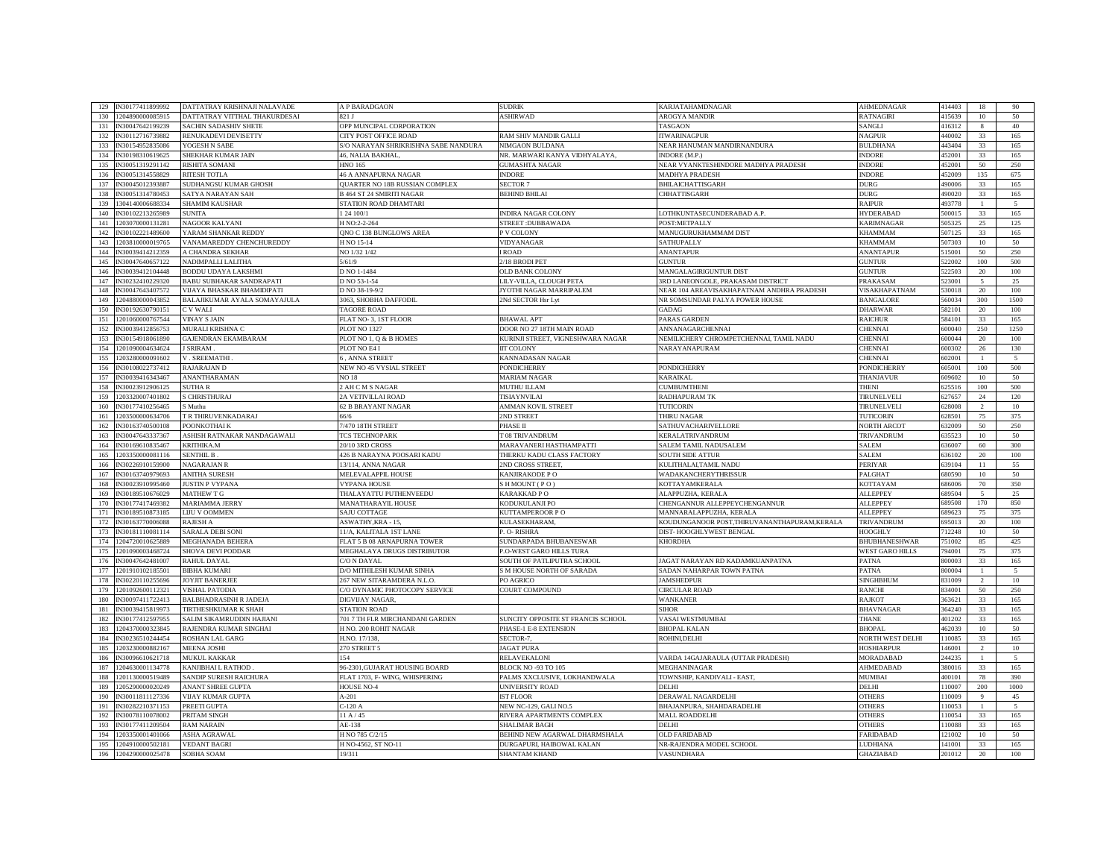| 129 | IN30177411899992     | DATTATRAY KRISHNAJI NALAVADE    | A P BARADGAON                         | <b>SUDRIK</b>                            | <b><i><u>KARJATAHAMDNAGAR</u></i></b>         | <b>AHMEDNAGAR</b>       | 414403 | 18              | 90              |
|-----|----------------------|---------------------------------|---------------------------------------|------------------------------------------|-----------------------------------------------|-------------------------|--------|-----------------|-----------------|
| 130 | 204890000085915      | DATTATRAY VITTHAL THAKURDESAI   | 821 I                                 | <b>SHIRWAD</b>                           | <b>AROGYA MANDIR</b>                          | RATNAGIRI               | 115639 | $10\,$          | 50              |
|     |                      |                                 |                                       |                                          |                                               |                         |        |                 |                 |
| 131 | IN30047642199239     | <b>SACHIN SADASHIV SHETE</b>    | OPP MUNCIPAL CORPORATION              |                                          | <b>TASGAON</b>                                | SANGLI                  | 416312 | 8               | 40              |
| 132 | IN30112716739882     | RENUKADEVI DEVISETTY            | CITY POST OFFICE ROAD                 | RAM SHIV MANDIR GALLI                    | <b>ITWARINAGPUR</b>                           | <b>NAGPUR</b>           | 440002 | 33              | 165             |
| 133 | N30154952835086      | YOGESH N SABE                   | S/O NARAYAN SHRIKRISHNA SABE NANDURA  | NIMGAON BULDANA                          | NEAR HANUMAN MANDIRNANDURA                    | <b>BULDHANA</b>         | 443404 | 33              | 165             |
| 134 | N30198310619625      | SHEKHAR KUMAR JAIN              | 46, NALIA BAKHAL                      | NR. MARWARI KANYA VIDHYALAYA,            | INDORE (M.P.)                                 | <b>INDORE</b>           | 452001 | 33              | 165             |
| 135 | N30051319291142      | RISHITA SOMANI                  | <b>HNO 165</b>                        | <b>JUMASHTA NAGAR</b>                    | VEAR VYANKTESHINDORE MADHYA PRADESH           | <b>INDORE</b>           | 52001  | 50              | 250             |
| 136 | N30051314558829      | RITESH TOTLA                    | <b>46 A ANNAPURNA NAGAR</b>           | <b>NDORE</b>                             | MADHYA PRADESH                                | <b>INDORE</b>           | 452009 | 135             | 675             |
| 137 | N30045012393887      | SUDHANGSU KUMAR GHOSH           | <b>QUARTER NO 18B RUSSIAN COMPLEX</b> | <b>SECTOR 7</b>                          | BHILAICHATTISGARH                             | <b>DURG</b>             | 490006 | 33              | 165             |
| 138 | V30051314780453      | <b>SATYA NARAYAN SAH</b>        | <b>B 464 ST 24 SMIRITI NAGAR</b>      | <b>EHIND BHILAI</b>                      | CHHATTISGARH                                  | <b>DURG</b>             | 490020 | 33              | 165             |
| 139 | 1304140006688334     | <b>SHAMIM KAUSHAR</b>           | STATION ROAD DHAMTARI                 |                                          |                                               | <b>RAIPUR</b>           | 493778 |                 | $\leq$          |
| 140 |                      | <b>IINITA</b>                   |                                       |                                          |                                               |                         | 500015 |                 | 165             |
|     | N30102213265989      |                                 | 24 100/1                              | NDIRA NAGAR COLONY                       | OTHKUNTASECUNDERABAD A.P.                     | <b>HYDERABAD</b>        |        | 33              |                 |
| 141 | 1203070000131281     | NAGOOR KALYANI                  | H NO:2-2-264                          | STREET: DUBBAWADA                        | POST:METPALLY                                 | <b>KARIMNAGAR</b>       | 505325 | 25              | 125             |
| 142 | N30102221489600      | YARAM SHANKAR REDDY             | QNO C 138 BUNGLOWS AREA               | V COLONY                                 | MANUGURUKHAMMAM DIST                          | <b>KHAMMAM</b>          | 507125 | 33              | 165             |
| 143 | 203810000019765      | VANAMAREDDY CHENCHUREDDY        | H NO 15-14                            | /IDYANAGAR                               | SATHUPALLY                                    | <b>KHAMMAM</b>          | 507303 | 10              | 50              |
| 144 | IN30039414212359     | A CHANDRA SEKHAR                | NO 1/32 1/42                          | ROAD                                     | <b>ANANTAPUR</b>                              | <b>ANANTAPUI</b>        | 515001 | 50              | 250             |
| 145 | V30047640657122      | NADIMPALLI LALITHA              | 5/61/9                                | 18 BRODI PET                             | <b>JUNTUR</b>                                 | <b>GUNTUR</b>           | 522002 | 100             | 500             |
| 146 | N30039412104448      | BODDU UDAYA LAKSHMI             | D NO 1-1484                           | <b>OLD BANK COLONY</b>                   | MANGALAGIRIGUNTUR DIST                        | <b>GUNTUR</b>           | 522503 | 20              | 100             |
| 147 | N30232410229320      | <b>BABU SUBHAKAR SANDRAPATI</b> | D NO 53-1-54                          | LILY-VILLA, CLOUGH PETA                  | 3RD LANEONGOLE, PRAKASAM DISTRICT             | <b>PRAKASAM</b>         | 523001 | -5              | 25              |
| 148 | N30047643407572      | VIJAYA BHASKAR BHAMIDIPATI      | D NO 38-19-9/2                        | YOTHI NAGAR MARRIPALEM                   | NEAR 104 AREAVISAKHAPATNAM ANDHRA PRADESH     | VISAKHAPATNAM           | 530018 | 20              | 100             |
|     |                      |                                 |                                       |                                          |                                               |                         |        |                 |                 |
| 149 | 204880000043852      | BALAJIKUMAR AYALA SOMAYAJULA    | 3063, SHOBHA DAFFODIL                 | 2Nd SECTOR Hsr Lyt                       | NR SOMSUNDAR PALYA POWER HOUSE                | <b>BANGALORE</b>        | 560034 | 300             | 1500            |
| 150 | N30192630790151      | C V WALI                        | <b>TAGORE ROAD</b>                    |                                          | <b>ADAG</b>                                   | <b>DHARWAR</b>          | 582101 | 20              | 100             |
| 151 | 1201060000767544     | <b>VINAY S JAIN</b>             | FLAT NO-3, 1ST FLOOR                  | <b>BHAWAL APT</b>                        | PARAS GARDEN                                  | <b>RAICHUR</b>          | 584101 | 33              | 165             |
| 152 | IN30039412856753     | MURALI KRISHNA C                | <b>PLOT NO 1327</b>                   | DOOR NO 27 18TH MAIN ROAD                | ANNANAGARCHENNAI                              | <b>CHENNAI</b>          | 600040 | 250             | 1250            |
| 153 | N30154918061890      | <b>GAJENDRAN EKAMBARAM</b>      | PLOT NO 1, Q & B HOMES                | <b>CURINJI STREET, VIGNESHWARA NAGAR</b> | <b>VEMILICHERY CHROMPETCHENNAL TAMIL NADU</b> | <b>CHENNAI</b>          | 600044 | 20              | 100             |
| 154 | 1201090004634624     | <b>SRIRAM</b>                   | PLOT NO E4 I                          | <b>IT COLONY</b>                         | NARAYANAPURAM                                 | CHENNAI                 | 600302 | 26              | 130             |
| 155 | 203280000091602      | V. SREEMATHI                    | , ANNA STREET                         | <b>CANNADASAN NAGAR</b>                  |                                               | <b>CHENNAI</b>          | 602001 |                 | 5               |
| 156 | N30108022737412      | RAJARAJAN D                     | NEW NO 45 VYSIAL STREET               | <b>ONDICHERRY</b>                        | <b>PONDICHERRY</b>                            | <b>PONDICHERRY</b>      | 605001 | 100             | 500             |
|     |                      |                                 | NO 18                                 |                                          |                                               | THANJAVUR               | 609602 | 10              | 50              |
| 157 | IN30039416343467     | <b>ANANTHARAMAN</b>             |                                       | <b>MARIAM NAGAR</b>                      | <b>KARAIKAL</b>                               |                         |        |                 |                 |
| 158 | N30023912906125      | SUTHA R                         | 2 AH C M S NAGAR                      | MUTHU ILLAM                              | <b>CUMBUMTHENI</b>                            | <b>THENI</b>            | 525516 | 100             | 500             |
| 159 | 203320007401802      | <b>CHRISTHURAJ</b>              | 2A VETIVILLAI ROAD                    | <b>TISIAYNVILAI</b>                      | RADHAPURAM TK                                 | <b>TIRUNELVELI</b>      | 627657 | 24              | 120             |
| 160 | N30177410256465      | Muthu                           | <b>52 B BRAYANT NAGAR</b>             | <b>AMMAN KOVIL STREET</b>                | <b>TUTICORIN</b>                              | TIRUNELVELI             | 528008 |                 | 10              |
| 161 | 203500000634706      | <b>FR THIRUVENKADARAJ</b>       | 56/6                                  | <b>ND STREET</b>                         | <b>THIRU NAGAR</b>                            | <b>TUTICORIN</b>        | 28501  | 75              | 375             |
| 162 | IN30163740500108     | POONKOTHAI K                    | 7/470 18TH STREET                     | PHASE II                                 | SATHUVACHARIVELLORE                           | <b>NORTH ARCOT</b>      | 632009 | 50              | 250             |
| 163 | N30047643337367      | ASHISH RATNAKAR NANDAGAWALI     | <b>TCS TECHNOPARK</b>                 | <b>T08 TRIVANDRUM</b>                    | KERALATRIVANDRUM                              | <b>TRIVANDRUM</b>       | 535523 | 10              | 50              |
| 164 | N30169610835467      | <b>KRITHIKA.M</b>               | 20/10 3RD CROSS                       | MARAVANERI HASTHAMPATTI                  | SALEM TAMIL NADUSALEM                         | SALEM                   | 536007 | 60              | 300             |
| 165 | 203350000081116      | SENTHIL B.                      | 426 B NARAYNA POOSARI KADU            | THERKU KADU CLASS FACTORY                | SOUTH SIDE ATTUR                              | <b>SALEM</b>            | 636102 | $20\,$          | 100             |
| 166 | N30226910159900      | NAGARAJAN R                     | 13/114, ANNA NAGAR                    | <b>ND CROSS STREET.</b>                  | <b>CULITHALALTAMIL NADU</b>                   | PERIYAR                 | 39104  | 11              | 55              |
|     |                      |                                 |                                       |                                          |                                               |                         |        |                 |                 |
| 167 | N30163740979693      | <b>ANITHA SURESH</b>            | MELEVALAPPIL HOUSE                    | KANJIRAKODE P O                          | WADAKANCHERYTHRISSUR                          | PALGHAT                 | 680590 | 10 <sup>°</sup> | 50              |
| 168 | N30023910995460      | <b>JUSTIN P VYPANA</b>          | <b>VYPANA HOUSE</b>                   | SHMOUNT (PO)                             | KOTTAYAMKERALA                                | <b>KOTTAYAM</b>         | 686006 | 70              | 350             |
| 169 | N30189510676029      | <b>MATHEW T G</b>               | THALAYATTU PUTHENVEEDU                | <b>CARAKKAD PO</b>                       | ALAPPUZHA, KERALA                             | <b>ALLEPPEY</b>         | 589504 |                 | 25              |
| 170 | N30177417469382      | <b>MARIAMMA JERRY</b>           | MANATHARAYIL HOUSE                    | <b>CODUKULANJI PO</b>                    | CHENGANNUR ALLEPPEYCHENGANNUR                 | <b>ALLEPPEY</b>         | 689508 | 170             | 850             |
| 171 | N30189510873185      | <b>LIJU V OOMMEN</b>            | SAJU COTTAGE                          | <b>CUTTAMPEROOR PO</b>                   | MANNARALAPPUZHA, KERALA                       | <b>ALLEPPEY</b>         | 589623 | 75              | 375             |
| 172 | N30163770006088      | RAJESH A                        | ASWATHY, KRA - 15,                    | <b>ULASEKHARAM.</b>                      | KOUDUNGANOOR POST,THIRUVANANTHAPURAM,KERALA   | <b>TRIVANDRUM</b>       | 595013 | $20\,$          | 100             |
| 173 | N30181110081114      | SARALA DEBI SONI                | 11/A, KALITALA 1ST LANE               | . O-RISHRA                               | DIST-HOOGHLYWEST BENGAL                       | <b>HOOGHLY</b>          | 12248  | 10              | 50              |
| 174 | 204720010625889      | MEGHANADA BEHERA                | FLAT 5 B 08 ARNAPURNA TOWER           | UNDARPADA BHUBANESWAR                    | <b>KHORDHA</b>                                | <b>BHUBHANESHWAR</b>    | 51002  | 85              | 425             |
| 175 | 201090003468724      | SHOVA DEVI PODDAR               | MEGHALAYA DRUGS DISTRIBUTOR           | P.O-WEST GARO HILLS TURA                 |                                               | <b>WEST GARO HILLS</b>  | 794001 | 75              | 375             |
| 176 | N30047642481007      | RAHUL DAYAL                     | CONDAYAL                              | SOUTH OF PATLIPUTRA SCHOOL               | JAGAT NARAYAN RD KADAMKUANPATNA               | <b>PATNA</b>            | 800003 | 33              | 165             |
|     |                      |                                 |                                       |                                          |                                               |                         |        |                 |                 |
| 177 | 201910102185501      | <b>BIBHA KUMARI</b>             | D/O MITHILESH KUMAR SINHA             | M HOUSE NORTH OF SARADA                  | SADAN NAHARPAR TOWN PATNA                     | <b>PATNA</b>            | 300004 |                 | $5\overline{5}$ |
| 178 | N30220110255696      | JOYJIT BANERJEE                 | 267 NEW SITARAMDERA N.L.O.            | PO AGRICO                                | <b>JAMSHEDPUR</b>                             | <b>SINGHBHUM</b>        | 831009 |                 | 10              |
| 179 | 201092600112321      | <b>VISHAL PATODIA</b>           | C/O DYNAMIC PHOTOCOPY SERVICE         | COURT COMPOUND                           | <b>CIRCULAR ROAD</b>                          | <b>RANCHI</b>           | 834001 | 50              | 250             |
| 180 | IN30097411722413     | <b>BALBHADRASINH R JADEJA</b>   | DIGVIJAY NAGAR                        |                                          | WANKANER                                      | <b>RAJKOT</b>           | 363621 | 33              | 165             |
| 181 | N30039415819973      | <b>TIRTHESHKUMAR K SHAH</b>     | <b>STATION ROAD</b>                   |                                          | <b>STHOR</b>                                  | <b>BHAVNAGAR</b>        | 364240 | 33              | 165             |
| 182 | N30177412597955      | ALIM SIKAMRUDDIN HAJIANI        | 701 7 TH FLR MIRCHANDANI GARDEN       | SUNCITY OPPOSITE ST FRANCIS SCHOOL       | <b>ASAI WESTMUMBAI</b>                        | <b>THANE</b>            | 01202  | 33              | 165             |
| 183 | 1204370000323845     | RAJENDRA KUMAR SINGHAI          | H NO. 200 ROHIT NAGAR                 | PHASE-1 E-8 EXTENSION                    | <b>BHOPAL KALAN</b>                           | <b>BHOPAL</b>           | 462039 | $10\,$          | 50              |
| 184 | IN30236510244454     | ROSHAN LAL GARG                 | H.NO. 17/138.                         | SECTOR-7.                                | ROHINI, DELHI                                 | <b>NORTH WEST DELHI</b> | 110085 | 33              | 165             |
| 185 | 203230000882167      | <b>MEENA JOSHI</b>              | 270 STREET 5                          | <b>AGAT PURA</b>                         |                                               | <b>HOSHIARPUR</b>       | 146001 | $\mathfrak{D}$  | 10              |
| 186 | IN30096610621718     | <b>MUKUL KAKKAR</b>             | 154                                   | <b>RELAVEKALONI</b>                      | VARDA 14GAJARAULA (UTTAR PRADESH)             | <b>MORADABAD</b>        | 244235 |                 | 5               |
|     |                      |                                 |                                       |                                          |                                               |                         |        |                 |                 |
| 187 | 204630001134778      | KANJIBHAI L RATHOD              | 96-2301, GUJARAT HOUSING BOARD        | <b>ILOCK NO -93 TO 105</b>               | MEGHANINAGAR                                  | AHMEDABAD               | 380016 | 33              | 165             |
| 188 | 1201130000519489     | SANDIP SURESH RAICHURA          | FLAT 1703, F- WING, WHISPERING        | PALMS XXCLUSIVE, LOKHANDWALA             | TOWNSHIP, KANDIVALI - EAST,                   | <b>MUMBAI</b>           | 400101 | 78              | 390             |
| 189 | 205290000020249      | <b>ANANT SHREE GUPTA</b>        | <b>HOUSE NO-4</b>                     | <b>INIVERSITY ROAD</b>                   | DELHI                                         | <b>DELHI</b>            | 110007 | 200             | 1000            |
| 190 | N30011811127336      | VIJAY KUMAR GUPTA               | $A - 201$                             | <b>ST FLOOR</b>                          | DERAWAL NAGARDELHI                            | <b>OTHERS</b>           | 110009 | $\mathbf Q$     | 45              |
| 191 | N30282210371153      | PREETI GUPTA                    | $-120A$                               | VEW NC-129, GALI NO.5                    | BHAJANPURA, SHAHDARADELHI                     | <b>OTHERS</b>           | 110053 |                 | $\overline{5}$  |
| 192 | N30078110078002      | PRITAM SINGH                    | 11A/45                                | RIVERA APARTMENTS COMPLEX                | MALL ROADDELHI                                | <b>OTHERS</b>           | 110054 | 33              | 165             |
| 193 | IN30177411209504     | <b>RAM NARAIN</b>               | AE-138                                | SHALIMAR BAGH                            | DEI HI                                        | <b>OTHERS</b>           | 110088 | 33              | 165             |
| 194 | 203350001401066      | ASHA AGRAWAL                    | H NO 785 C/2/15                       | BEHIND NEW AGARWAL DHARMSHALA            | OLD FARIDABAD                                 | <b>FARIDABAD</b>        | 121002 | 10              | 50              |
| 195 | 204910000502181      | <b>VEDANT BAGRI</b>             | H NO-4562, ST NO-11                   | <b>URGAPURI, HAIBOWAL KALAN</b>          | NR-RAJENDRA MODEL SCHOOL                      | <b>LUDHIANA</b>         | 141001 | 33              | 165             |
|     |                      |                                 |                                       |                                          |                                               |                         | 201012 | $20\,$          | 100             |
|     | 196 1204290000025478 | SOBHA SOAM                      | 19/311                                | <b>SHANTAM KHAND</b>                     | VASUNDHARA                                    | <b>GHAZIABAD</b>        |        |                 |                 |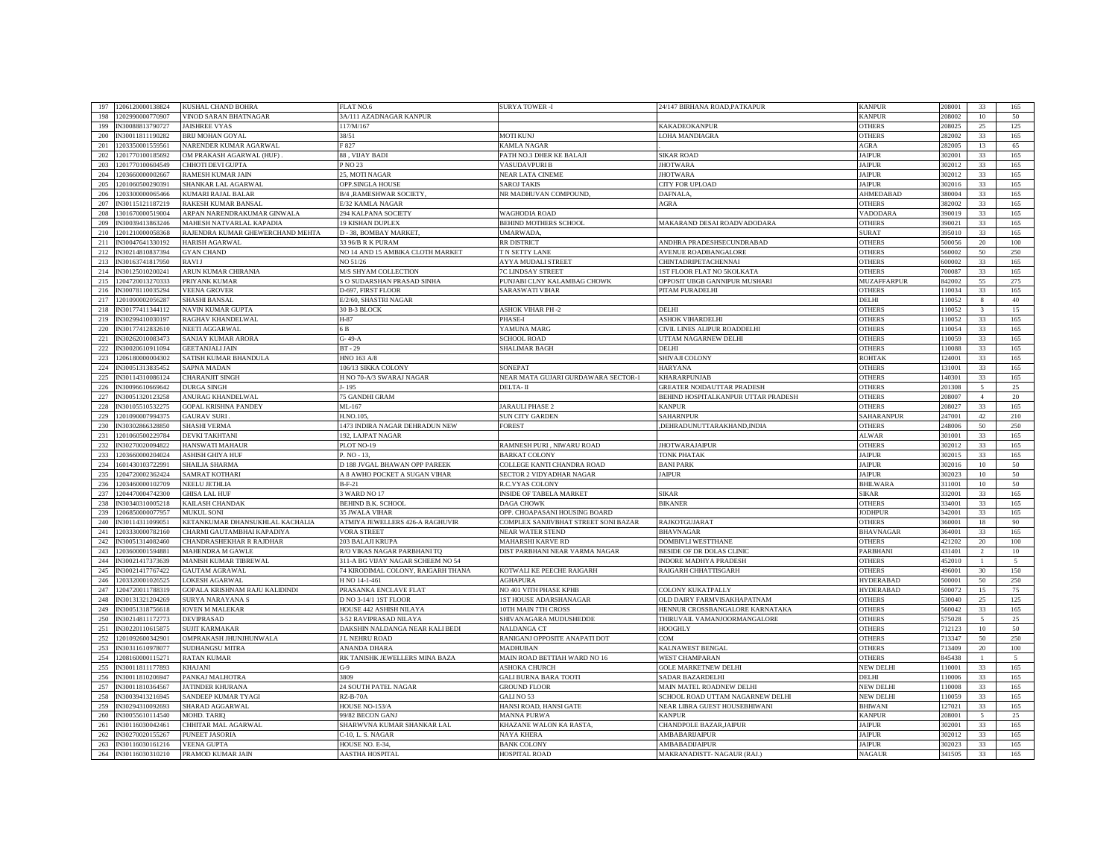| 197<br>1206120000138824                            | KUSHAL CHAND BOHRA                           | <b>FLAT NO.6</b>                          | <b>SURYA TOWER -I</b>                      | 24/147 BIRHANA ROAD, PATKAPUR                          | <b>KANPUF</b>                  | 208001           | 33                       | 165            |
|----------------------------------------------------|----------------------------------------------|-------------------------------------------|--------------------------------------------|--------------------------------------------------------|--------------------------------|------------------|--------------------------|----------------|
|                                                    |                                              |                                           |                                            |                                                        |                                |                  |                          |                |
| 198<br>202990000770907                             | <b>/INOD SARAN BHATNAGAR</b>                 | 3A/111 AZADNAGAR KANPUR                   |                                            |                                                        | KANPUE                         | 08002            | 10                       | 50             |
| 199<br>IN30088813790727                            | <b>AISHREE VYAS</b>                          | 17/M/167                                  |                                            | AKADEOKANPUR                                           | <b>OTHERS</b>                  | 08025            | 25                       | 125            |
| 200<br>IN30011811190282                            | BRIJ MOHAN GOYAL                             | 38/51                                     | <b>MOTI KUNJ</b>                           | OHA MANDIAGRA                                          | <b>OTHERS</b>                  | 282002           | 33                       | 165            |
| 201<br>203350001559561                             | <b>JARENDER KUMAR AGARWAL</b>                | $-827$                                    | KAMLA NAGAR                                |                                                        | <b>AGRA</b>                    | 82005            | 13                       | 65             |
| 202<br>1201770100185692                            | <b>DM PRAKASH AGARWAL (HUF)</b>              | 88, VIJAY BADI                            | PATH NO.3 DHER KE BALAJI                   | <b>SIKAR ROAD</b>                                      | <b>JAIPUR</b>                  | 302001           | 33                       | 165            |
| 203<br>201770100604549                             | <b>CHHOTI DEVI GUPTA</b>                     | NO 23                                     | VASUDAVPURI B                              | <b>HOTWARA</b>                                         | <b>JAIPUR</b>                  | 302012           | 33                       | 165            |
|                                                    |                                              |                                           |                                            |                                                        |                                |                  |                          |                |
| 204<br>203660000002667                             | RAMESH KUMAR JAIN                            | 25, MOTI NAGAR                            | NEAR LATA CINEME                           | <b>HOTWARA</b>                                         | <b>JAIPUR</b>                  | 02012            | 33                       | 165            |
| 205<br>1201060500290391                            | SHANKAR LAL AGARWAL                          | OPP.SINGLA HOUSE                          | <b>SAROJ TAKIS</b>                         | CITY FOR UPLOAD                                        | <b>JAIPUR</b>                  | 302016           | 33                       | 165            |
| 206<br>203300000065466                             | KUMARI RAJAL BALAR                           | B/4 , RAMESHWAR SOCIETY,                  | NR MADHUVAN COMPOUND,                      | DAFNALA                                                | <b>AHMEDABAD</b>               | 80004            | 33                       | 165            |
| 207<br>N30115121187219                             | <b>RAKESH KUMAR BANSAL</b>                   | E/32 KAMLA NAGAR                          |                                            | <b>AGRA</b>                                            | <b>OTHERS</b>                  | 82002            | 33                       | 165            |
| 208<br>301670000519004                             | ARPAN NARENDRAKUMAR GINWALA                  | 294 KALPANA SOCIETY                       | <b>WAGHODIA ROAD</b>                       |                                                        | VADODARA                       | 390019           | 33                       | 165            |
| 209<br>IN30039413863246                            | MAHESH NATVARLAL KAPADIA                     | 9 KISHAN DUPLEX                           | BEHIND MOTHERS SCHOOL                      | MAKARAND DESAI ROADVADODARA                            | <b>OTHERS</b>                  | 90021            | 33                       | 165            |
|                                                    |                                              |                                           |                                            |                                                        |                                |                  |                          |                |
| 210<br>1201210000058368                            | RAJENDRA KUMAR GHEWERCHAND MEHTA             | D - 38, BOMBAY MARKET,                    | UMARWADA,                                  |                                                        | <b>SURAT</b>                   | 95010            | 33                       | 165            |
| 211<br>IN30047641330192                            | HARISH AGARWAL                               | 33 96/B R K PURAM                         | <b>RR DISTRICT</b>                         | ANDHRA PRADESHSECUNDRABAD                              | <b>OTHERS</b>                  | 500056           | 20                       | 100            |
| 212<br>N30214810837394                             | <b>GYAN CHAND</b>                            | NO 14 AND 15 AMBIKA CLOTH MARKET          | T N SETTY LANE                             | <b><i>NVENUE ROADBANGALORE</i></b>                     | <b>OTHERS</b>                  | 560002           | 50                       | 250            |
| 213<br>IN30163741817950                            | <b>LIVAS</b>                                 | NO 51/26                                  | AYYA MUDALI STREET                         | CHINTADRIPETACHENNAI                                   | <b>OTHERS</b>                  | 500002           | 33                       | 165            |
| 214<br>N30125010200241                             | ARUN KUMAR CHIRANIA                          | M/S SHYAM COLLECTION                      | C LINDSAY STREET                           | ST FLOOR FLAT NO 5KOLKATA                              | <b>OTHERS</b>                  | '00087           | 33                       | 165            |
| 215<br>1204720013270333                            | PRIYANK KUMAR                                | S O SUDARSHAN PRASAD SINHA                | PUNJABI CLNY KALAMBAG CHOWK                | OPPOSIT UBGB GANNIPUR MUSHARI                          | <b>MUZAFFARPUR</b>             | 842002           | 55                       | 275            |
|                                                    |                                              |                                           |                                            |                                                        |                                |                  |                          |                |
| 216<br>IN30078110035294                            | <b>VEENA GROVER</b>                          | D-697, FIRST FLOOR                        | <b>SARASWATI VIHAR</b>                     | PITAM PURADELHI                                        | <b>OTHERS</b>                  | 110034           | 33                       | 165            |
| 217<br>201090002056287                             | <b>SHASHI BANSAI</b>                         | 3/2/60, SHASTRI NAGAR                     |                                            |                                                        | DELHI                          | 10052            |                          | 40             |
| 218<br>IN30177411344112                            | NAVIN KUMAR GUPTA                            | <b>30 B-3 BLOCK</b>                       | <b>ASHOK VIHAR PH-2</b>                    | DELHI                                                  | <b>OTHERS</b>                  | 110052           |                          | 15             |
| 219<br>IN30299410030197                            | <b>RAGHAV KHANDELWAL</b>                     | H-87                                      | <b>HASE-I</b>                              | <b>SHOK VIHARDELHI</b>                                 | <b>OTHERS</b>                  | 110052           | 33                       | 165            |
| 220<br>N30177412832610                             | <b>NEETI AGGARWAL</b>                        | 6 B                                       | YAMUNA MARG                                | CIVIL LINES ALIPUR ROADDELHI                           | <b>OTHERS</b>                  | 10054            | 33                       | 165            |
| 221<br>IN30262010083473                            | SANJAY KUMAR ARORA                           | G-49-A                                    | <b>SCHOOL ROAD</b>                         | <b>JTTAM NAGARNEW DELHI</b>                            | <b>OTHERS</b>                  | 110059           | 33                       | 165            |
| 222<br>N30020610911094                             | <b>GEETANJALI JAIN</b>                       | $BT - 29$                                 | SHALIMAR BAGH                              | DELHI                                                  | <b>OTHERS</b>                  | 10088            | 33                       | 165            |
| 223<br>1206180000004302                            |                                              |                                           |                                            |                                                        |                                | 124001           | 33                       | 165            |
|                                                    | SATISH KUMAR BHANDULA                        | HNO 163 A/8                               |                                            | SHIVAJI COLONY                                         | <b>ROHTAK</b>                  |                  |                          |                |
| 224<br>IN30051313835452                            | SAPNA MADAN                                  | 06/13 SIKKA COLONY                        | SONEPAT                                    | <b>IARYANA</b>                                         | <b>OTHERS</b>                  | 131001           | 33                       | 165            |
| 225<br>IN30114310086124                            | <b>CHARANJIT SINGH</b>                       | H NO 70-A/3 SWARAJ NAGAR                  | NEAR MATA GUJARI GURDAWARA SECTOR-1        | <b>CHARARPUNJAB</b>                                    | <b>OTHERS</b>                  | 140301           | 33                       | 165            |
| 226<br>IN30096610669642                            | <b>DURGA SINGH</b>                           | l-195                                     | DELTA-II                                   | <b>GREATER NOIDAUTTAR PRADESH</b>                      | <b>OTHERS</b>                  | 201308           | $\overline{\phantom{0}}$ | 25             |
| 227<br>IN30051320123258                            | ANURAG KHANDELWAL                            | <b>75 GANDHI GRAM</b>                     |                                            | BEHIND HOSPITALKANPUR UTTAR PRADESH                    | <b>OTHERS</b>                  | 208007           | $\overline{4}$           | 20             |
| 228<br>IN30105510532275                            | <b>GOPAL KRISHNA PANDEY</b>                  | ML-167                                    | JARAULI PHASE 2                            | <b><i><u>KANPUR</u></i></b>                            | <b>OTHERS</b>                  | 208027           | 33                       | 165            |
| 229<br>1201090007994375                            | <b>GAURAV SURI</b>                           | H.NO.105.                                 | <b>SUN CITY GARDEN</b>                     | <b>SAHARNPUR</b>                                       | SAHARANPUR                     | 247001           | 42                       | 210            |
|                                                    |                                              |                                           |                                            |                                                        |                                |                  |                          |                |
|                                                    |                                              |                                           |                                            |                                                        |                                |                  |                          |                |
| 230<br>N30302866328850                             | <b>SHASHI VERMA</b>                          | <b>473 INDIRA NAGAR DEHRADUN NEW</b>      | FOREST                                     | DEHRADUNUTTARAKHAND, INDIA                             | <b>OTHERS</b>                  | 48006            | 50                       | 250            |
| 231<br>1201060500229784                            | <b>DEVKI TAKHTANI</b>                        | 192, LAJPAT NAGAR                         |                                            |                                                        | <b>ALWAR</b>                   | 301001           | 33                       | 165            |
| 232<br>IN30270020094822                            | <b>HANSWATI MAHAUI</b>                       | PLOT NO-19                                | RAMNESH PURI, NIWARU ROAD                  | <b>JHOTWARAJAIPUR</b>                                  | <b>OTHERS</b>                  | 302012           | 33                       | 165            |
| 233<br>203660000204024                             | <b>ASHISH GHIYA HUF</b>                      | $P. NO - 13.$                             | <b>BARKAT COLONY</b>                       | <b>TONK PHATAK</b>                                     | <b>JAIPUR</b>                  | 02015            | 33                       | 165            |
| 234<br>601430103722991                             | <b>SHAILJA SHARMA</b>                        | D 188 JVGAL BHAWAN OPP PAREEK             | COLLEGE KANTI CHANDRA ROAD                 | <b>BANI PARK</b>                                       | <b>JAIPUR</b>                  | 302016           | $10\,$                   | 50             |
| 235<br>204720002362424                             | <b>SAMRAT KOTHARI</b>                        |                                           |                                            |                                                        | <b>JAIPUR</b>                  | 302023           | 10                       | 50             |
|                                                    |                                              | A 8 AWHO POCKET A SUGAN VIHAR             | SECTOR 2 VIDYADHAR NAGAR                   | <b>JAIPUR</b>                                          |                                |                  |                          |                |
| 236<br>1203460000102709                            | NEELU JETHLIA                                | B-F-21                                    | R.C.VYAS COLONY                            |                                                        | <b>BHILWAR</b>                 | 311001           | 10                       | 50             |
| 237<br>204470004742300                             | <b>GHISA LAL HUF</b>                         | 3 WARD NO 17                              | <b>INSIDE OF TABELA MARKET</b>             | SIKAR                                                  | <b>SIKAR</b>                   | 332001           | 33                       | 165            |
| 238<br>N30340310005218                             | AILASH CHANDAK                               | BEHIND B.K. SCHOOL                        | DAGA CHOWK                                 | <b>IKANER</b>                                          | OTHER:                         | 34001            | 33                       | 165            |
| 239<br>1206850000077957                            | <b>MUKUL SONI</b>                            | 35 JWALA VIHAR                            | OPP. CHOAPASANI HOUSING BOARD              |                                                        | <b>JODHPUR</b>                 | 342001           | 33                       | 165            |
| 240<br>N30114311099051                             | KETANKUMAR DHANSUKHLAL KACHALIA              | <b>ATMIYA JEWELLERS 426-A RAGHUVIR</b>    | COMPLEX SANJIVBHAT STREET SONI BAZAR       | <b>AJKOTGUJARAT</b>                                    | <b>OTHERS</b>                  | 60001            | 18                       | 90             |
| 241<br>1203330000782160                            | CHARMI GAUTAMBHAI KAPADIYA                   | <b>VORA STREET</b>                        | <b>NEAR WATER STEND</b>                    | BHAVNAGAR                                              | <b>BHAVNAGAR</b>               | 64001            | 33                       | 165            |
| 242<br>IN30051314082460                            |                                              |                                           | <b>MAHARSHI KARVE RD</b>                   |                                                        | <b>OTHERS</b>                  | 421202           |                          | 100            |
| 243<br>203600001594881                             | CHANDRASHEKHAR R RAJDHAR<br>MAHENDRA M GAWLE | 203 BALAJI KRUPA                          |                                            | DOMBIVLI WESTTHANE<br><b>BESIDE OF DR DOLAS CLINIC</b> |                                | 431401           | 20<br>$\overline{2}$     | 10             |
|                                                    |                                              | <b>2/O VIKAS NAGAR PARBHANI TQ</b>        | DIST PARBHANI NEAR VARMA NAGAR             |                                                        | PARBHANI                       |                  |                          |                |
| 244<br>IN30021417373639                            | MANISH KUMAR TIBREWAL                        | 311-A BG VIJAY NAGAR SCHEEM NO 54         |                                            | <b>INDORE MADHYA PRADESH</b>                           | <b>OTHERS</b>                  | 452010           |                          | $\overline{5}$ |
| 245<br>N30021417767422                             | GAUTAM AGRAWAL                               | 74 KIRODIMAL COLONY, RAIGARH THANA        | KOTWALI KE PEECHE RAIGARH                  | RAIGARH CHHATTISGARH                                   | <b>OTHERS</b>                  | 496001           | 30                       | 150            |
| 246<br>203320001026525                             | OKESH AGARWAL                                | H NO 14-1-461                             | <b>AGHAPURA</b>                            |                                                        | <b>HYDERABAD</b>               | 500001           | 50                       | 250            |
| 247<br>1204720011788319                            | GOPALA KRISHNAM RAJU KALIDINDI               | PRASANKA ENCLAVE FLAT                     | NO 401 VITH PHASE KPHB                     | COLONY KUKATPALLY                                      | <b>HYDERABAD</b>               | 500072           | 15                       | 75             |
| 248<br>N30131321204269                             | SURYA NARAYANA S                             | D NO 3-14/1 1ST FLOOR                     | <b>1ST HOUSE ADARSHANAGAR</b>              | OLD DAIRY FARMVISAKHAPATNAM                            | <b>OTHERS</b>                  | 530040           | 25                       | 125            |
| IN30051318756618<br>249                            | <b>IOVEN M MALEKAR</b>                       | HOUSE 442 ASHISH NILAYA                   | 10TH MAIN 7TH CROSS                        | HENNUR CROSSBANGALORE KARNATAKA                        | <b>OTHERS</b>                  | 560042           | 33                       | 165            |
| 250<br>IN30214811172773                            | <b>DEVIPRASAD</b>                            | 3-52 RAVIPRASAD NILAYA                    | SHIVANAGARA MUDUSHEDDE                     | THIRUVAIL VAMANJOORMANGALORE                           | <b>OTHERS</b>                  | 575028           |                          | 25             |
|                                                    |                                              |                                           |                                            |                                                        |                                |                  |                          |                |
| 251<br>IN30220110615875                            | <b>SUJIT KARMAKAR</b>                        | DAKSHIN NALDANGA NEAR KALI BEDI           | NALDANGA CT                                | <b>HOOGHLY</b>                                         | <b>OTHERS</b>                  | 12123            | $10\,$                   | 50             |
| 252<br>1201092600342901                            | OMPRAKASH JHUNJHUNWALA                       | J L NEHRU ROAD                            | RANIGANJ OPPOSITE ANAPATI DOT              | COM                                                    | <b>OTHERS</b>                  | 713347           | 50                       | 250            |
| 253<br>IN30311610978077                            | SUDHANGSU MITRA                              | <b>ANANDA DHARA</b>                       | <b>MADHUBAN</b>                            | <b>CALNAWEST BENGAL</b>                                | <b>OTHERS</b>                  | 713409           | 20                       | 100            |
| 254<br>1208160000115271                            | <b>RATAN KUMAR</b>                           | RK TANISHK JEWELLERS MINA BAZA            | MAIN ROAD BETTIAH WARD NO 16               | <b>WEST CHAMPARAN</b>                                  | <b>OTHERS</b>                  | 845438           |                          | 5              |
| 255<br>IN30011811177893                            | KHAJANI                                      | $G-9$                                     | <b>ASHOKA CHURCH</b>                       | <b>GOLE MARKETNEW DELHI</b>                            | <b>NEW DELH</b>                | 110001           | 33                       | 165            |
| 256<br>N30011810206947                             | <b>PANKAJ MALHOTRA</b>                       | 3809                                      | <b>GALI BURNA BARA TOOTI</b>               | <b>ADAR BAZARDELHI</b>                                 | DELHI                          | 10006            | 33                       | 165            |
| 257<br>N30011810364567                             | <b>ATINDER KHURANA</b>                       | 24 SOUTH PATEL NAGAR                      | <b>GROUND FLOOR</b>                        | MAIN MATEL ROADNEW DELHI                               | <b>NEW DELH</b>                | 110008           | 33                       | 165            |
| 258<br>N30039413216945                             | SANDEEP KUMAR TYAGI                          | $RZ-B-70A$                                | GALI NO 53                                 |                                                        | <b>NEW DELH</b>                | 110059           | 33                       | 165            |
|                                                    |                                              |                                           |                                            | SCHOOL ROAD UTTAM NAGARNEW DELHI                       |                                |                  |                          |                |
| 259<br>N30294310092693                             | SHARAD AGGARWAL                              | HOUSE NO-153/A                            | HANSI ROAD, HANSI GATE                     | NEAR LIBRA GUEST HOUSEBHIWANI                          | <b>BHIWANI</b>                 | 127021           | 33                       | 165            |
| 260<br>IN30055610114540                            | MOHD. TARIQ                                  | 99/82 BECON GANJ                          | <b>MANNA PURWA</b>                         | <b><i>CANPUR</i></b>                                   | <b>KANPUR</b>                  | 208001           |                          | 25             |
| 261<br>N30116030042461                             | <b>HHITAR MAL AGARWAL</b>                    | SHARWVNA KUMAR SHANKAR LAL                | KHAZANE WALON KA RASTA.                    | <b>CHANDPOLE BAZAR, JAIPUR</b>                         | <b>JAIPUR</b>                  | 02001            | 33                       | 165            |
| 262<br>N30270020155267                             | <b>PUNEET JASORIA</b>                        | C-10, L. S. NAGAR                         | <b>NAYA KHERA</b>                          | <b>MBABARIJAIPUR</b>                                   | <b>JAIPUF</b>                  | 02012            | 33                       | 165            |
| 263<br>IN30116030161216<br>264<br>IN30116030310210 | <b>VEENA GUPTA</b><br>PRAMOD KUMAR JAIN      | HOUSE NO. E-34.<br><b>AASTHA HOSPITAL</b> | <b>BANK COLONY</b><br><b>HOSPITAL ROAD</b> | <b>AMBABADIJAIPUR</b><br>MAKRANADISTT- NAGAUR (RAJ.)   | <b>JAIPUR</b><br><b>NAGAUR</b> | 302023<br>341505 | 33<br>33                 | 165<br>165     |